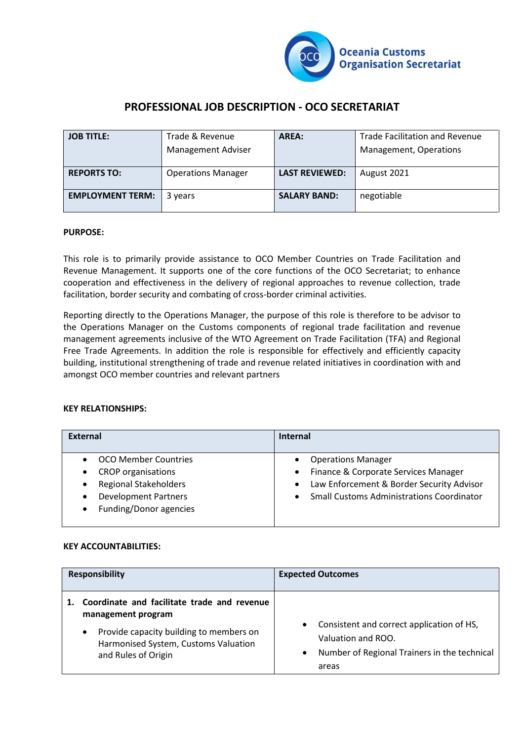

# **PROFESSIONAL JOB DESCRIPTION - OCO SECRETARIAT**

| <b>JOB TITLE:</b>       | Trade & Revenue           | AREA:                 | <b>Trade Facilitation and Revenue</b> |
|-------------------------|---------------------------|-----------------------|---------------------------------------|
|                         | <b>Management Adviser</b> |                       | Management, Operations                |
| <b>REPORTS TO:</b>      | <b>Operations Manager</b> | <b>LAST REVIEWED:</b> | August 2021                           |
|                         |                           |                       |                                       |
| <b>EMPLOYMENT TERM:</b> | 3 years                   | <b>SALARY BAND:</b>   | negotiable                            |
|                         |                           |                       |                                       |

## **PURPOSE:**

This role is to primarily provide assistance to OCO Member Countries on Trade Facilitation and Revenue Management. It supports one of the core functions of the OCO Secretariat; to enhance cooperation and effectiveness in the delivery of regional approaches to revenue collection, trade facilitation, border security and combating of cross-border criminal activities.

Reporting directly to the Operations Manager, the purpose of this role is therefore to be advisor to the Operations Manager on the Customs components of regional trade facilitation and revenue management agreements inclusive of the WTO Agreement on Trade Facilitation (TFA) and Regional Free Trade Agreements. In addition the role is responsible for effectively and efficiently capacity building, institutional strengthening of trade and revenue related initiatives in coordination with and amongst OCO member countries and relevant partners

#### **KEY RELATIONSHIPS:**

| <b>External</b>                           | <b>Internal</b>                                  |
|-------------------------------------------|--------------------------------------------------|
| <b>OCO Member Countries</b>               | <b>Operations Manager</b>                        |
| <b>CROP</b> organisations<br>$\bullet$    | Finance & Corporate Services Manager             |
| <b>Regional Stakeholders</b><br>$\bullet$ | Law Enforcement & Border Security Advisor        |
| <b>Development Partners</b><br>$\bullet$  | <b>Small Customs Administrations Coordinator</b> |
| Funding/Donor agencies<br>$\bullet$       |                                                  |

#### **KEY ACCOUNTABILITIES:**

| <b>Responsibility</b> |                                                                                                                                                                                          | <b>Expected Outcomes</b>                                                                                                                           |
|-----------------------|------------------------------------------------------------------------------------------------------------------------------------------------------------------------------------------|----------------------------------------------------------------------------------------------------------------------------------------------------|
|                       | Coordinate and facilitate trade and revenue<br>management program<br>Provide capacity building to members on<br>$\bullet$<br>Harmonised System, Customs Valuation<br>and Rules of Origin | Consistent and correct application of HS,<br>$\bullet$<br>Valuation and ROO.<br>Number of Regional Trainers in the technical<br>$\bullet$<br>areas |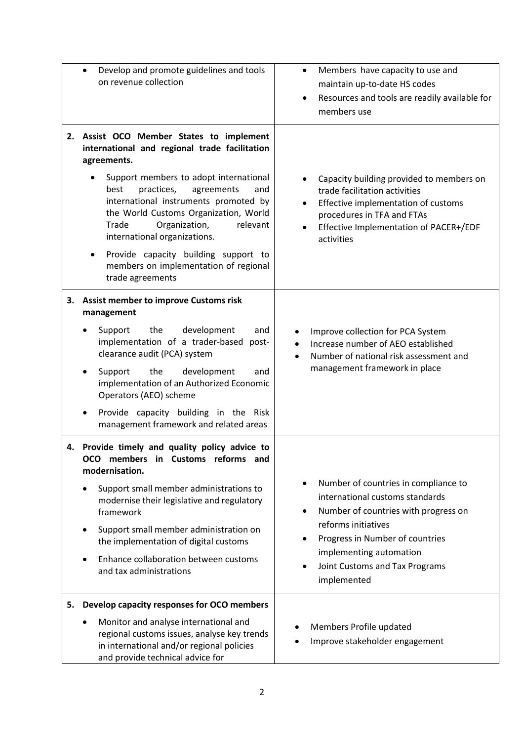|    | Develop and promote guidelines and tools<br>on revenue collection                                                                                                                                                                                                                                                                                                                                                                                            | Members have capacity to use and<br>٠<br>maintain up-to-date HS codes<br>Resources and tools are readily available for<br>members use                                                                                                                                                     |
|----|--------------------------------------------------------------------------------------------------------------------------------------------------------------------------------------------------------------------------------------------------------------------------------------------------------------------------------------------------------------------------------------------------------------------------------------------------------------|-------------------------------------------------------------------------------------------------------------------------------------------------------------------------------------------------------------------------------------------------------------------------------------------|
| 2. | Assist OCO Member States to implement<br>international and regional trade facilitation<br>agreements.<br>Support members to adopt international<br>practices,<br>best<br>agreements<br>and<br>international instruments promoted by<br>the World Customs Organization, World<br>Trade<br>Organization,<br>relevant<br>international organizations.<br>Provide capacity building support to<br>٠<br>members on implementation of regional<br>trade agreements | Capacity building provided to members on<br>trade facilitation activities<br>Effective implementation of customs<br>$\bullet$<br>procedures in TFA and FTAs<br>Effective Implementation of PACER+/EDF<br>$\bullet$<br>activities                                                          |
| 3. | <b>Assist member to improve Customs risk</b><br>management<br>Support<br>the<br>development<br>and<br>implementation of a trader-based post-<br>clearance audit (PCA) system<br>Support<br>the<br>development<br>and<br>implementation of an Authorized Economic<br>Operators (AEO) scheme<br>Provide capacity building in the Risk<br>management framework and related areas                                                                                | Improve collection for PCA System<br>Increase number of AEO established<br>Number of national risk assessment and<br>$\bullet$<br>management framework in place                                                                                                                           |
|    | 4. Provide timely and quality policy advice to<br>OCO members in Customs reforms and<br>modernisation.<br>Support small member administrations to<br>modernise their legislative and regulatory<br>framework<br>Support small member administration on<br>the implementation of digital customs<br>Enhance collaboration between customs<br>and tax administrations                                                                                          | Number of countries in compliance to<br>$\bullet$<br>international customs standards<br>Number of countries with progress on<br>٠<br>reforms initiatives<br>Progress in Number of countries<br>$\bullet$<br>implementing automation<br>Joint Customs and Tax Programs<br>٠<br>implemented |
| 5. | Develop capacity responses for OCO members<br>Monitor and analyse international and<br>regional customs issues, analyse key trends<br>in international and/or regional policies<br>and provide technical advice for                                                                                                                                                                                                                                          | Members Profile updated<br>Improve stakeholder engagement                                                                                                                                                                                                                                 |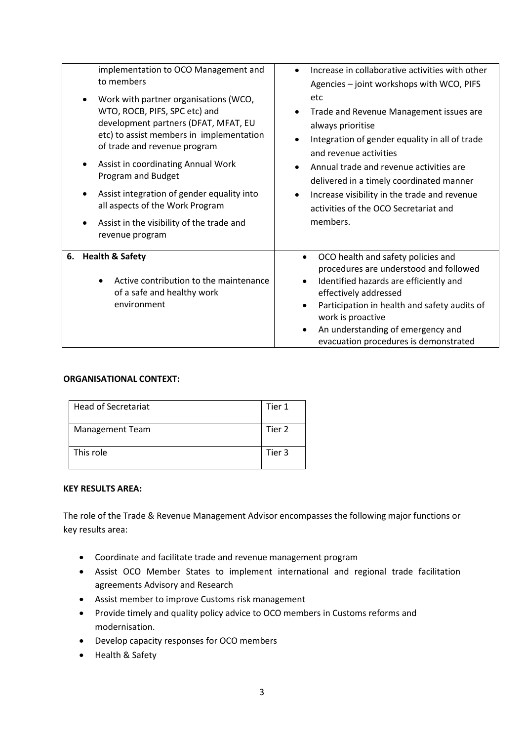| implementation to OCO Management and<br>to members<br>Work with partner organisations (WCO,<br>WTO, ROCB, PIFS, SPC etc) and<br>development partners (DFAT, MFAT, EU<br>etc) to assist members in implementation<br>of trade and revenue program<br>Assist in coordinating Annual Work<br>Program and Budget<br>Assist integration of gender equality into<br>all aspects of the Work Program<br>Assist in the visibility of the trade and<br>revenue program | Increase in collaborative activities with other<br>$\bullet$<br>Agencies - joint workshops with WCO, PIFS<br>etc<br>Trade and Revenue Management issues are<br>always prioritise<br>Integration of gender equality in all of trade<br>٠<br>and revenue activities<br>Annual trade and revenue activities are<br>delivered in a timely coordinated manner<br>Increase visibility in the trade and revenue<br>activities of the OCO Secretariat and<br>members. |
|---------------------------------------------------------------------------------------------------------------------------------------------------------------------------------------------------------------------------------------------------------------------------------------------------------------------------------------------------------------------------------------------------------------------------------------------------------------|---------------------------------------------------------------------------------------------------------------------------------------------------------------------------------------------------------------------------------------------------------------------------------------------------------------------------------------------------------------------------------------------------------------------------------------------------------------|
| <b>Health &amp; Safety</b><br>6.<br>Active contribution to the maintenance<br>of a safe and healthy work<br>environment                                                                                                                                                                                                                                                                                                                                       | OCO health and safety policies and<br>$\bullet$<br>procedures are understood and followed<br>Identified hazards are efficiently and<br>$\bullet$<br>effectively addressed<br>Participation in health and safety audits of<br>$\bullet$<br>work is proactive<br>An understanding of emergency and<br>$\bullet$<br>evacuation procedures is demonstrated                                                                                                        |

# **ORGANISATIONAL CONTEXT:**

| <b>Head of Secretariat</b> | Tier 1 |
|----------------------------|--------|
| Management Team            | Tier 2 |
| This role                  | Tier 3 |

#### **KEY RESULTS AREA:**

The role of the Trade & Revenue Management Advisor encompasses the following major functions or key results area:

- Coordinate and facilitate trade and revenue management program
- Assist OCO Member States to implement international and regional trade facilitation agreements Advisory and Research
- Assist member to improve Customs risk management
- Provide timely and quality policy advice to OCO members in Customs reforms and modernisation.
- Develop capacity responses for OCO members
- Health & Safety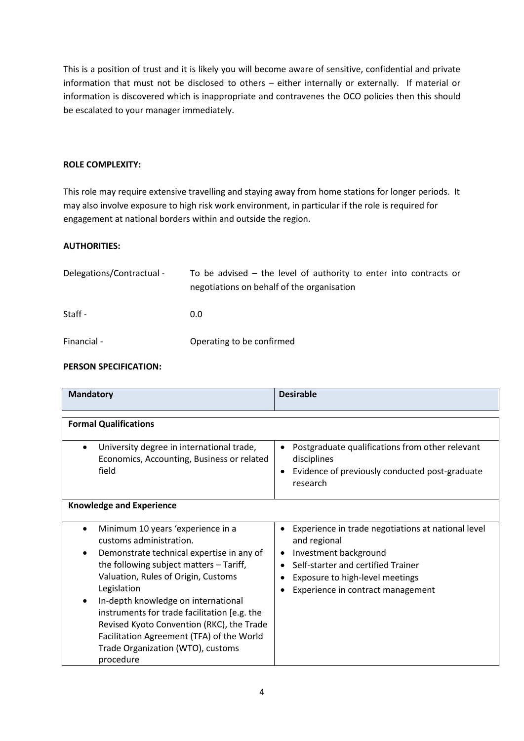This is a position of trust and it is likely you will become aware of sensitive, confidential and private information that must not be disclosed to others – either internally or externally. If material or information is discovered which is inappropriate and contravenes the OCO policies then this should be escalated to your manager immediately.

## **ROLE COMPLEXITY:**

This role may require extensive travelling and staying away from home stations for longer periods. It may also involve exposure to high risk work environment, in particular if the role is required for engagement at national borders within and outside the region.

# **AUTHORITIES:**

| Delegations/Contractual - | To be advised $-$ the level of authority to enter into contracts or<br>negotiations on behalf of the organisation |
|---------------------------|-------------------------------------------------------------------------------------------------------------------|
| Staff -                   | 0.0                                                                                                               |
| Financial -               | Operating to be confirmed                                                                                         |

## **PERSON SPECIFICATION:**

| <b>Mandatory</b>                                                                                                                                                                                                                                                                                                                                                                                                                              | <b>Desirable</b>                                                                                                                                                                                          |  |
|-----------------------------------------------------------------------------------------------------------------------------------------------------------------------------------------------------------------------------------------------------------------------------------------------------------------------------------------------------------------------------------------------------------------------------------------------|-----------------------------------------------------------------------------------------------------------------------------------------------------------------------------------------------------------|--|
|                                                                                                                                                                                                                                                                                                                                                                                                                                               |                                                                                                                                                                                                           |  |
| <b>Formal Qualifications</b>                                                                                                                                                                                                                                                                                                                                                                                                                  |                                                                                                                                                                                                           |  |
| University degree in international trade,<br>Economics, Accounting, Business or related<br>field                                                                                                                                                                                                                                                                                                                                              | Postgraduate qualifications from other relevant<br>disciplines<br>Evidence of previously conducted post-graduate<br>٠<br>research                                                                         |  |
| <b>Knowledge and Experience</b>                                                                                                                                                                                                                                                                                                                                                                                                               |                                                                                                                                                                                                           |  |
| Minimum 10 years 'experience in a<br>customs administration.<br>Demonstrate technical expertise in any of<br>the following subject matters - Tariff,<br>Valuation, Rules of Origin, Customs<br>Legislation<br>In-depth knowledge on international<br>instruments for trade facilitation [e.g. the<br>Revised Kyoto Convention (RKC), the Trade<br>Facilitation Agreement (TFA) of the World<br>Trade Organization (WTO), customs<br>procedure | Experience in trade negotiations at national level<br>and regional<br>Investment background<br>Self-starter and certified Trainer<br>Exposure to high-level meetings<br>Experience in contract management |  |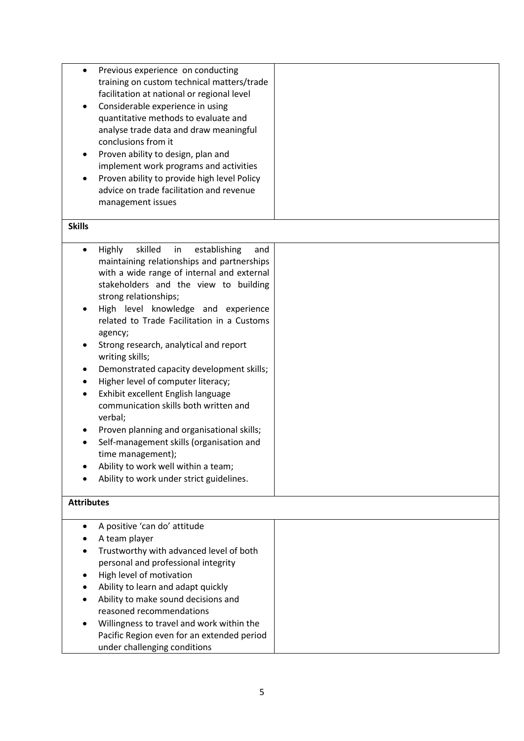| $\bullet$         | Previous experience on conducting<br>training on custom technical matters/trade<br>facilitation at national or regional level<br>Considerable experience in using<br>quantitative methods to evaluate and<br>analyse trade data and draw meaningful<br>conclusions from it |  |
|-------------------|----------------------------------------------------------------------------------------------------------------------------------------------------------------------------------------------------------------------------------------------------------------------------|--|
|                   | Proven ability to design, plan and<br>implement work programs and activities<br>Proven ability to provide high level Policy<br>advice on trade facilitation and revenue<br>management issues                                                                               |  |
| <b>Skills</b>     |                                                                                                                                                                                                                                                                            |  |
| $\bullet$         | skilled<br>establishing<br><b>Highly</b><br>in<br>and<br>maintaining relationships and partnerships<br>with a wide range of internal and external<br>stakeholders and the view to building<br>strong relationships;                                                        |  |
|                   | High level knowledge and experience<br>related to Trade Facilitation in a Customs<br>agency;                                                                                                                                                                               |  |
|                   | Strong research, analytical and report<br>writing skills;                                                                                                                                                                                                                  |  |
| $\bullet$         | Demonstrated capacity development skills;<br>Higher level of computer literacy;                                                                                                                                                                                            |  |
|                   | Exhibit excellent English language<br>communication skills both written and<br>verbal;                                                                                                                                                                                     |  |
|                   | Proven planning and organisational skills;<br>Self-management skills (organisation and<br>time management);                                                                                                                                                                |  |
|                   | Ability to work well within a team;                                                                                                                                                                                                                                        |  |
|                   | Ability to work under strict guidelines.                                                                                                                                                                                                                                   |  |
| <b>Attributes</b> |                                                                                                                                                                                                                                                                            |  |
|                   | A positive 'can do' attitude                                                                                                                                                                                                                                               |  |
|                   | A team player<br>Trustworthy with advanced level of both                                                                                                                                                                                                                   |  |
|                   | personal and professional integrity                                                                                                                                                                                                                                        |  |
|                   | High level of motivation                                                                                                                                                                                                                                                   |  |
|                   | Ability to learn and adapt quickly                                                                                                                                                                                                                                         |  |
|                   | Ability to make sound decisions and                                                                                                                                                                                                                                        |  |
|                   | reasoned recommendations                                                                                                                                                                                                                                                   |  |
|                   | Willingness to travel and work within the                                                                                                                                                                                                                                  |  |
|                   | Pacific Region even for an extended period<br>under challenging conditions                                                                                                                                                                                                 |  |